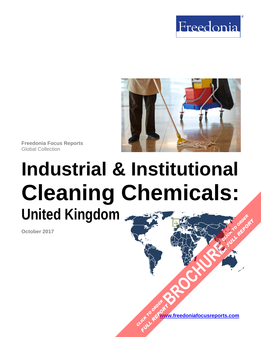



**Freedonia Focus Reports**  Global Collection

# **Industrial & Institutional Cleaning Chemicals: United Kingdom[BROCHURE](https://www.freedoniafocusreports.com/Industrial-Institutional-Cleaning-Chemicals-United-Kingdom-FB35052/?progid=89541) CLICK TO ORDER FULL REPORT**

**October 2017** 

**www.freedoniafocusreports.com** CLICK TO ORDER **FULL REPORT**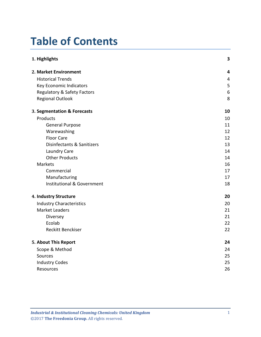## **Table of Contents**

| 1. Highlights                          | 3  |
|----------------------------------------|----|
| 2. Market Environment                  | 4  |
| <b>Historical Trends</b>               | 4  |
| Key Economic Indicators                | 5  |
| <b>Regulatory &amp; Safety Factors</b> | 6  |
| <b>Regional Outlook</b>                | 8  |
| 3. Segmentation & Forecasts            | 10 |
| Products                               | 10 |
| <b>General Purpose</b>                 | 11 |
| Warewashing                            | 12 |
| <b>Floor Care</b>                      | 12 |
| Disinfectants & Sanitizers             | 13 |
| Laundry Care                           | 14 |
| <b>Other Products</b>                  | 14 |
| Markets                                | 16 |
| Commercial                             | 17 |
| Manufacturing                          | 17 |
| <b>Institutional &amp; Government</b>  | 18 |
| 4. Industry Structure                  | 20 |
| <b>Industry Characteristics</b>        | 20 |
| <b>Market Leaders</b>                  | 21 |
| Diversey                               | 21 |
| Ecolab                                 | 22 |
| <b>Reckitt Benckiser</b>               | 22 |
| 5. About This Report                   | 24 |
| Scope & Method                         | 24 |
| Sources                                | 25 |
| <b>Industry Codes</b>                  | 25 |
| Resources                              | 26 |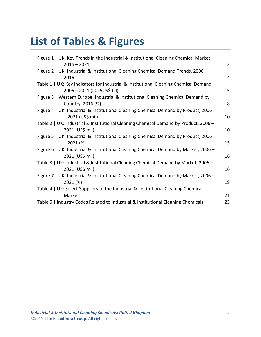## **List of Tables & Figures**

| Figure 1   UK: Key Trends in the Industrial & Institutional Cleaning Chemical Market,                               |    |
|---------------------------------------------------------------------------------------------------------------------|----|
| $2016 - 2021$                                                                                                       | 3  |
| Figure 2   UK: Industrial & Institutional Cleaning Chemical Demand Trends, 2006 -                                   |    |
| 2016                                                                                                                | 4  |
| Table 1   UK: Key Indicators for Industrial & Institutional Cleaning Chemical Demand,<br>2006 - 2021 (2015US\$ bil) | 5  |
| Figure 3   Western Europe: Industrial & Institutional Cleaning Chemical Demand by<br>Country, 2016 (%)              | 8  |
| Figure 4   UK: Industrial & Institutional Cleaning Chemical Demand by Product, 2006<br>$-2021$ (US\$ mil)           | 10 |
| Table 2   UK: Industrial & Institutional Cleaning Chemical Demand by Product, 2006 -<br>2021 (US\$ mil)             | 10 |
| Figure 5   UK: Industrial & Institutional Cleaning Chemical Demand by Product, 2006<br>$-2021(%)$                   | 15 |
| Figure 6   UK: Industrial & Institutional Cleaning Chemical Demand by Market, 2006 -<br>2021 (US\$ mil)             | 16 |
| Table 3   UK: Industrial & Institutional Cleaning Chemical Demand by Market, 2006 -<br>2021 (US\$ mil)              | 16 |
| Figure 7   UK: Industrial & Institutional Cleaning Chemical Demand by Market, 2006 -<br>2021 (%)                    | 19 |
| Table 4   UK: Select Suppliers to the Industrial & Institutional Cleaning Chemical<br>Market                        | 21 |
| Table 5   Industry Codes Related to Industrial & Institutional Cleaning Chemicals                                   | 25 |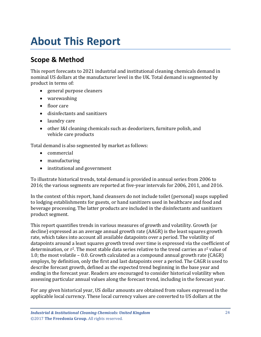## <span id="page-3-0"></span>**About This Report**

### <span id="page-3-1"></span>**Scope & Method**

This report forecasts to 2021 industrial and institutional cleaning chemicals demand in nominal US dollars at the manufacturer level in the UK. Total demand is segmented by product in terms of:

- general purpose cleaners
- warewashing
- floor care
- disinfectants and sanitizers
- laundry care
- other I&I cleaning chemicals such as deodorizers, furniture polish, and vehicle care products

Total demand is also segmented by market as follows:

- commercial
- manufacturing
- institutional and government

To illustrate historical trends, total demand is provided in annual series from 2006 to 2016; the various segments are reported at five-year intervals for 2006, 2011, and 2016.

In the context of this report, hand cleansers do not include toilet (personal) soaps supplied to lodging establishments for guests, or hand sanitizers used in healthcare and food and beverage processing. The latter products are included in the disinfectants and sanitizers product segment.

This report quantifies trends in various measures of growth and volatility. Growth (or decline) expressed as an average annual growth rate (AAGR) is the least squares growth rate, which takes into account all available datapoints over a period. The volatility of datapoints around a least squares growth trend over time is expressed via the coefficient of determination, or  $r^2$ . The most stable data series relative to the trend carries an  $r^2$  value of 1.0; the most volatile – 0.0. Growth calculated as a compound annual growth rate (CAGR) employs, by definition, only the first and last datapoints over a period. The CAGR is used to describe forecast growth, defined as the expected trend beginning in the base year and ending in the forecast year. Readers are encouraged to consider historical volatility when assessing particular annual values along the forecast trend, including in the forecast year.

For any given historical year, US dollar amounts are obtained from values expressed in the applicable local currency. These local currency values are converted to US dollars at the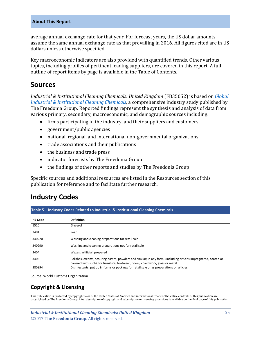#### **About This Report**

average annual exchange rate for that year. For forecast years, the US dollar amounts assume the same annual exchange rate as that prevailing in 2016. All figures cited are in US dollars unless otherwise specified.

Key macroeconomic indicators are also provided with quantified trends. Other various topics, including profiles of pertinent leading suppliers, are covered in this report. A full outline of report items by page is available in the Table of Contents.

#### <span id="page-4-0"></span>**Sources**

*Industrial & Institutional Cleaning Chemicals: United Kingdom* (FB35052) is based on *[Global](http://www.freedoniagroup.com/DocumentDetails.aspx?ReferrerId=FL-FOCUS&studyid=3575)  [Industrial & Institutional Cleaning Chemicals,](http://www.freedoniagroup.com/DocumentDetails.aspx?ReferrerId=FL-FOCUS&studyid=3575)* a comprehensive industry study published by The Freedonia Group. Reported findings represent the synthesis and analysis of data from various primary, secondary, macroeconomic, and demographic sources including:

- firms participating in the industry, and their suppliers and customers
- government/public agencies
- national, regional, and international non-governmental organizations
- trade associations and their publications
- the business and trade press
- indicator forecasts by The Freedonia Group
- the findings of other reports and studies by The Freedonia Group

Specific sources and additional resources are listed in the Resources section of this publication for reference and to facilitate further research.

#### <span id="page-4-1"></span>**Industry Codes**

<span id="page-4-2"></span>

| Table 5   Industry Codes Related to Industrial & Institutional Cleaning Chemicals |                                                                                                                                                                                                   |  |
|-----------------------------------------------------------------------------------|---------------------------------------------------------------------------------------------------------------------------------------------------------------------------------------------------|--|
| <b>HS Code</b>                                                                    | <b>Definition</b>                                                                                                                                                                                 |  |
| 1520                                                                              | Glycerol                                                                                                                                                                                          |  |
| 3401                                                                              | Soap                                                                                                                                                                                              |  |
| 340220                                                                            | Washing and cleaning preparations for retail sale                                                                                                                                                 |  |
| 340290                                                                            | Washing and cleaning preparations not for retail sale                                                                                                                                             |  |
| 3404                                                                              | Waxes; artificial, prepared                                                                                                                                                                       |  |
| 3405                                                                              | Polishes, creams, scouring pastes, powders and similar; in any form, (including articles impregnated, coated or<br>covered with such), for furniture, footwear, floors, coachwork, glass or metal |  |
| 380894                                                                            | Disinfectants; put up in forms or packings for retail sale or as preparations or articles                                                                                                         |  |

Source: World Customs Organization

#### **Copyright & Licensing**

This publication is protected by copyright laws of the United States of America and international treaties. The entire contents of this publication are copyrighted by The Freedonia Group. A full description of copyright and subscription or licensing provisions is available on the final page of this publication.